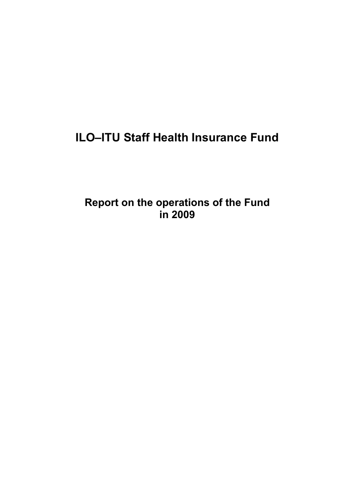# **ILO–ITU Staff Health Insurance Fund**

**Report on the operations of the Fund in 2009**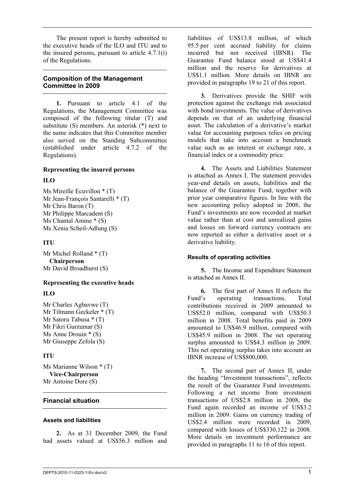The present report is hereby submitted to the executive heads of the ILO and ITU and to the insured persons, pursuant to article 4.7.1(i) of the Regulations.

## **Composition of the Management Committee in 2009**

**1.** Pursuant to article 4.1 of the Regulations, the Management Committee was composed of the following titular (T) and substitute (S) members. An asterisk (\*) next to the name indicates that this Committee member also served on the Standing Subcommittee (established under article 4.7.2 of the Regulations).

#### **Representing the insured persons**

#### **ILO**

Ms Mireille Ecuvillon \* (T) Mr Jean-François Santarelli \* (T) Mr Chris Baron (T) Mr Philippe Marcadent (S) Ms Chantal Amine \* (S) Ms Xenia Scheil-Adlung (S)

### **ITU**

Mr Michel Rolland \* (T) **Chairperson** Mr David Broadhurst (S)

#### **Representing the executive heads**

### **ILO**

Mr Charles Agbavwe (T) Mr Tilmann Geckeler \* (T) Mr Satoru Tabusa \* (T) Mr Fikri Gurzumar (S) Ms Anne Drouin \* (S) Mr Giuseppe Zefola (S)

### **ITU**

Ms Marianne Wilson \* (T) **Vice-Chairperson** Mr Antoine Dore (S)

### **Financial situation**

#### **Assets and liabilities**

**2.** As at 31 December 2009, the Fund had assets valued at US\$56.3 million and

liabilities of US\$13.8 million, of which 95.5 per cent accrued liability for claims incurred but not received (IBNR). The Guarantee Fund balance stood at US\$41.4 million and the reserve for derivatives at US\$1.1 million. More details on IBNR are provided in paragraphs 19 to 21 of this report.

**3.** Derivatives provide the SHIF with protection against the exchange risk associated with bond investments. The value of derivatives depends on that of an underlying financial asset. The calculation of a derivative's market value for accounting purposes relies on pricing models that take into account a benchmark value such as an interest or exchange rate, a financial index or a commodity price.

**4.** The Assets and Liabilities Statement is attached as Annex I. The statement provides year-end details on assets, liabilities and the balance of the Guarantee Fund, together with prior year comparative figures. In line with the new accounting policy adopted in 2008, the Fund's investments are now recorded at market value rather than at cost and unrealized gains and losses on forward currency contracts are now reported as either a derivative asset or a derivative liability.

### **Results of operating activities**

**5.** The Income and Expenditure Statement is attached as Annex II.

**6.** The first part of Annex II reflects the Fund's operating transactions. Total contributions received in 2009 amounted to US\$52.0 million, compared with US\$50.3 million in 2008. Total benefits paid in 2009 amounted to US\$46.9 million, compared with US\$45.9 million in 2008. The net operating surplus amounted to US\$4.3 million in 2009. This net operating surplus takes into account an IBNR increase of US\$800,000.

**7.** The second part of Annex II, under the heading "Investment transactions", reflects the result of the Guarantee Fund investments. Following a net income from investment transactions of US\$2.8 million in 2008, the Fund again recorded an income of US\$3.2 million in 2009. Gains on currency trading of US\$2.4 million were recorded in 2009, compared with losses of US\$330,122 in 2008. More details on investment performance are provided in paragraphs 11 to 16 of this report.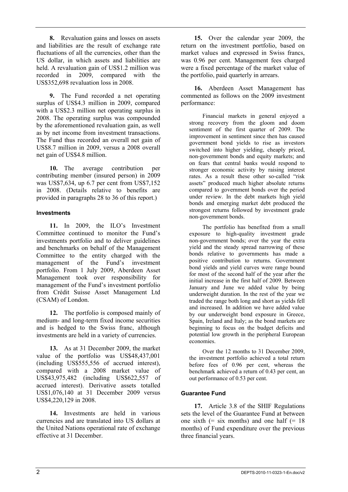**8.** Revaluation gains and losses on assets and liabilities are the result of exchange rate fluctuations of all the currencies, other than the US dollar, in which assets and liabilities are held. A revaluation gain of US\$1.2 million was recorded in 2009, compared with the US\$352,698 revaluation loss in 2008.

**9.** The Fund recorded a net operating surplus of US\$4.3 million in 2009, compared with a US\$2.3 million net operating surplus in 2008. The operating surplus was compounded by the aforementioned revaluation gain, as well as by net income from investment transactions. The Fund thus recorded an overall net gain of US\$8.7 million in 2009, versus a 2008 overall net gain of US\$4.8 million.

**10.** The average contribution per contributing member (insured person) in 2009 was US\$7,634, up 6.7 per cent from US\$7,152 in 2008. (Details relative to benefits are provided in paragraphs 28 to 36 of this report.)

#### **Investments**

**11.** In 2009, the ILO's Investment Committee continued to monitor the Fund's investments portfolio and to deliver guidelines and benchmarks on behalf of the Management Committee to the entity charged with the management of the Fund's investment portfolio. From 1 July 2009, Aberdeen Asset Management took over responsibility for management of the Fund's investment portfolio from Crédit Suisse Asset Management Ltd (CSAM) of London.

**12.** The portfolio is composed mainly of medium- and long-term fixed income securities and is hedged to the Swiss franc, although investments are held in a variety of currencies.

**13.** As at 31 December 2009, the market value of the portfolio was US\$48,437,001 (including US\$555,556 of accrued interest), compared with a 2008 market value of US\$43,975,482 (including US\$622,557 of accrued interest). Derivative assets totalled US\$1,076,140 at 31 December 2009 versus US\$4,220,129 in 2008.

**14.** Investments are held in various currencies and are translated into US dollars at the United Nations operational rate of exchange effective at 31 December.

**15.** Over the calendar year 2009, the return on the investment portfolio, based on market values and expressed in Swiss francs, was 0.96 per cent. Management fees charged were a fixed percentage of the market value of the portfolio, paid quarterly in arrears.

**16.** Aberdeen Asset Management has commented as follows on the 2009 investment performance:

Financial markets in general enjoyed a strong recovery from the gloom and doom sentiment of the first quarter of 2009. The improvement in sentiment since then has caused government bond yields to rise as investors switched into higher yielding, cheaply priced, non-government bonds and equity markets; and on fears that central banks would respond to stronger economic activity by raising interest rates. As a result these other so-called "risk assets" produced much higher absolute returns compared to government bonds over the period under review. In the debt markets high yield bonds and emerging market debt produced the strongest returns followed by investment grade non-government bonds.

The portfolio has benefited from a small exposure to high-quality investment grade non-government bonds; over the year the extra yield and the steady spread narrowing of these bonds relative to governments has made a positive contribution to returns. Government bond yields and yield curves were range bound for most of the second half of the year after the initial increase in the first half of 2009. Between January and June we added value by being underweight duration. In the rest of the year we traded the range both long and short as yields fell and increased. In addition we have added value by our underweight bond exposure in Greece, Spain, Ireland and Italy; as the bond markets are beginning to focus on the budget deficits and potential low growth in the peripheral European **economies** 

Over the 12 months to 31 December 2009, the investment portfolio achieved a total return before fees of 0.96 per cent, whereas the benchmark achieved a return of 0.43 per cent, an out performance of 0.53 per cent.

### **Guarantee Fund**

**17.** Article 3.8 of the SHIF Regulations sets the level of the Guarantee Fund at between one sixth  $(=$  six months) and one half  $(= 18)$ months) of Fund expenditure over the previous three financial years.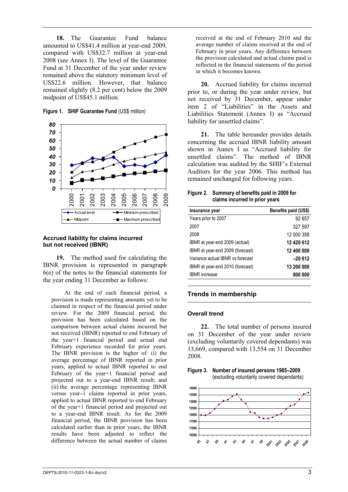**18.** The Guarantee Fund balance amounted to US\$41.4 million at year-end 2009, compared with US\$32.7 million at year-end 2008 (see Annex I). The level of the Guarantee Fund at 31 December of the year under review remained above the statutory minimum level of US\$22.6 million. However, that balance remained slightly (8.2 per cent) below the 2009 midpoint of US\$45.1 million.

**Figure 1. SHIF Guarantee Fund** (US\$ million)



#### **Accrued liability for claims incurred but not received (IBNR)**

**19.** The method used for calculating the IBNR provision is represented in paragraph 6(e) of the notes to the financial statements for the year ending 31 December as follows:

At the end of each financial period, a provision is made representing amounts yet to be claimed in respect of the financial period under review. For the 2009 financial period, the provision has been calculated based on the comparison between actual claims incurred but not received (IBNR) reported to end February of the year+1 financial period and actual end February experience recorded for prior years. The IBNR provision is the higher of: (i) the average percentage of IBNR reported in prior years, applied to actual IBNR reported to end February of the year+1 financial period and projected out to a year-end IBNR result; and (ii) the average percentage representing IBNR versus year**–**1 claims reported in prior years, applied to actual IBNR reported to end February of the year+1 financial period and projected out to a year-end IBNR result. As for the 2009 financial period, the IBNR provision has been calculated earlier than in prior years, the IBNR results have been adjusted to reflect the difference between the actual number of claims

received at the end of February 2010 and the average number of claims received at the end of February in prior years. Any difference between the provision calculated and actual claims paid is reflected in the financial statements of the period in which it becomes known.

**20.** Accrued liability for claims incurred prior to, or during the year under review, but not received by 31 December, appear under item 2 of "Liabilities" in the Assets and Liabilities Statement (Annex I) as "Accrued liability for unsettled claims".

**21.** The table hereunder provides details concerning the accrued IBNR liability amount shown in Annex I as "Accrued liability for unsettled claims". The method of IBNR calculation was audited by the SHIF's External Auditors for the year 2006. This method has remained unchanged for following years.

#### **Figure 2. Summary of benefits paid in 2009 for claims incurred in prior years**

| Insurance year                   | Benefits paid (US\$) |
|----------------------------------|----------------------|
| Years prior to 2007              | 92 657               |
| 2007                             | 327 597              |
| 2008                             | 12 000 358           |
| IBNR at year-end 2009 (actual)   | 12 420 612           |
| IBNR at year-end 2009 (forecast) | 12 400 000           |
| Variance actual IBNR vs forecast | $-20612$             |
| IBNR at year-end 2010 (forecast) | 13 200 000           |
| <b>IBNR</b> increase             | 800 000              |
|                                  |                      |

#### **Trends in membership**

#### **Overall trend**

**22.** The total number of persons insured on 31 December of the year under review (excluding voluntarily covered dependants) was 13,669, compared with 13,554 on 31 December 2008.



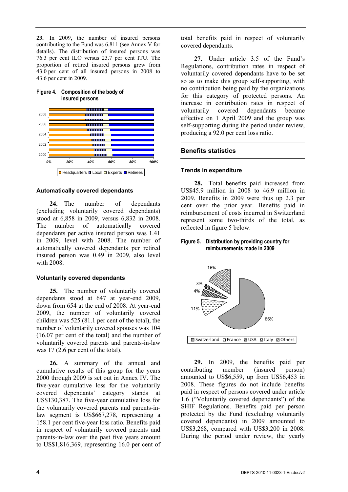**23.** In 2009, the number of insured persons contributing to the Fund was 6,811 (see Annex V for details). The distribution of insured persons was 76.3 per cent ILO versus 23.7 per cent ITU. The proportion of retired insured persons grew from 43.0 per cent of all insured persons in 2008 to 43.6 per cent in 2009.



# **Figure 4. Composition of the body of insured persons**

#### **Automatically covered dependants**

**24.** The number of dependants (excluding voluntarily covered dependants) stood at 6,858 in 2009, versus 6,832 in 2008. The number of automatically covered dependants per active insured person was 1.41 in 2009, level with 2008. The number of automatically covered dependants per retired insured person was 0.49 in 2009, also level with 2008.

#### **Voluntarily covered dependants**

**25.** The number of voluntarily covered dependants stood at 647 at year-end 2009, down from 654 at the end of 2008. At year-end 2009, the number of voluntarily covered children was 525 (81.1 per cent of the total), the number of voluntarily covered spouses was 104 (16.07 per cent of the total) and the number of voluntarily covered parents and parents-in-law was 17 (2.6 per cent of the total).

**26.** A summary of the annual and cumulative results of this group for the years 2000 through 2009 is set out in Annex IV. The five-year cumulative loss for the voluntarily covered dependants' category stands at US\$130,387. The five-year cumulative loss for the voluntarily covered parents and parents-inlaw segment is US\$667,278, representing a 158.1 per cent five-year loss ratio. Benefits paid in respect of voluntarily covered parents and parents-in-law over the past five years amount to US\$1,816,369, representing 16.0 per cent of total benefits paid in respect of voluntarily covered dependants.

**27.** Under article 3.5 of the Fund's Regulations, contribution rates in respect of voluntarily covered dependants have to be set so as to make this group self-supporting, with no contribution being paid by the organizations for this category of protected persons. An increase in contribution rates in respect of voluntarily covered dependants became effective on 1 April 2009 and the group was self-supporting during the period under review, producing a 92.0 per cent loss ratio.

### **Benefits statistics**

#### **Trends in expenditure**

**28.** Total benefits paid increased from US\$45.9 million in 2008 to 46.9 million in 2009. Benefits in 2009 were thus up 2.3 per cent over the prior year. Benefits paid in reimbursement of costs incurred in Switzerland represent some two-thirds of the total, as reflected in figure 5 below.

#### **Figure 5. Distribution by providing country for reimbursements made in 2009**



**29.** In 2009, the benefits paid per contributing member (insured person) amounted to US\$6,559, up from US\$6,453 in 2008. These figures do not include benefits paid in respect of persons covered under article 1.6 ("Voluntarily covered dependants") of the SHIF Regulations. Benefits paid per person protected by the Fund (excluding voluntarily covered dependants) in 2009 amounted to US\$3,268, compared with US\$3,200 in 2008. During the period under review, the yearly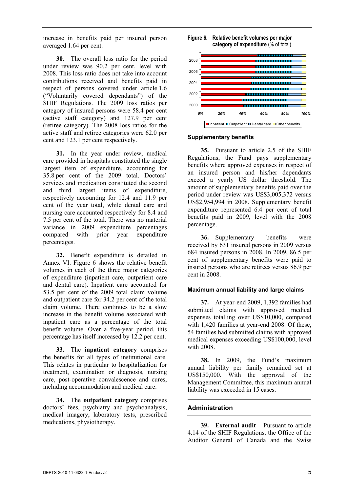increase in benefits paid per insured person averaged 1.64 per cent.

**30.** The overall loss ratio for the period under review was 90.2 per cent, level with 2008. This loss ratio does not take into account contributions received and benefits paid in respect of persons covered under article 1.6 ("Voluntarily covered dependants") of the SHIF Regulations. The 2009 loss ratios per category of insured persons were 58.4 per cent (active staff category) and 127.9 per cent (retiree category). The 2008 loss ratios for the active staff and retiree categories were 62.0 per cent and 123.1 per cent respectively.

**31.** In the year under review, medical care provided in hospitals constituted the single largest item of expenditure, accounting for 35.8 per cent of the 2009 total. Doctors' services and medication constituted the second and third largest items of expenditure, respectively accounting for 12.4 and 11.9 per cent of the year total, while dental care and nursing care accounted respectively for 8.4 and 7.5 per cent of the total. There was no material variance in 2009 expenditure percentages compared with prior year expenditure percentages.

**32.** Benefit expenditure is detailed in Annex VI. Figure 6 shows the relative benefit volumes in each of the three major categories of expenditure (inpatient care, outpatient care and dental care). Inpatient care accounted for 53.5 per cent of the 2009 total claim volume and outpatient care for 34.2 per cent of the total claim volume. There continues to be a slow increase in the benefit volume associated with inpatient care as a percentage of the total benefit volume. Over a five-year period, this percentage has itself increased by 12.2 per cent.

**33.** The **inpatient category** comprises the benefits for all types of institutional care. This relates in particular to hospitalization for treatment, examination or diagnosis, nursing care, post-operative convalescence and cures, including accommodation and medical care.

**34.** The **outpatient category** comprises doctors' fees, psychiatry and psychoanalysis, medical imagery, laboratory tests, prescribed medications, physiotherapy.





#### **Supplementary benefits**

**35.** Pursuant to article 2.5 of the SHIF Regulations, the Fund pays supplementary benefits where approved expenses in respect of an insured person and his/her dependants exceed a yearly US dollar threshold. The amount of supplementary benefits paid over the period under review was US\$3,005,372 versus US\$2,954,994 in 2008. Supplementary benefit expenditure represented 6.4 per cent of total benefits paid in 2009, level with the 2008 percentage.

**36.** Supplementary benefits were received by 631 insured persons in 2009 versus 684 insured persons in 2008. In 2009, 86.5 per cent of supplementary benefits were paid to insured persons who are retirees versus 86.9 per cent in 2008.

#### **Maximum annual liability and large claims**

**37.** At year-end 2009, 1,392 families had submitted claims with approved medical expenses totalling over US\$10,000, compared with 1,420 families at year-end 2008. Of these, 54 families had submitted claims with approved medical expenses exceeding US\$100,000, level with 2008.

**38.** In 2009, the Fund's maximum annual liability per family remained set at US\$150,000. With the approval of the Management Committee, this maximum annual liability was exceeded in 15 cases.

### **Administration**

**39. External audit** – Pursuant to article 4.14 of the SHIF Regulations, the Office of the Auditor General of Canada and the Swiss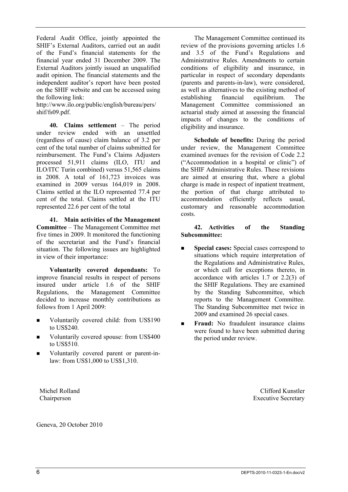Federal Audit Office, jointly appointed the SHIF's External Auditors, carried out an audit of the Fund's financial statements for the financial year ended 31 December 2009. The External Auditors jointly issued an unqualified audit opinion. The financial statements and the independent auditor's report have been posted on the SHIF website and can be accessed using the following link:

http://www.ilo.org/public/english/bureau/pers/ shif/fs09.pdf.

**40. Claims settlement** – The period under review ended with an unsettled (regardless of cause) claim balance of 3.2 per cent of the total number of claims submitted for reimbursement. The Fund's Claims Adjusters processed 51,911 claims (ILO, ITU and ILO/ITC Turin combined) versus 51,565 claims in 2008. A total of 161,723 invoices was examined in 2009 versus 164,019 in 2008. Claims settled at the ILO represented 77.4 per cent of the total. Claims settled at the ITU represented 22.6 per cent of the total

**41. Main activities of the Management Committee** – The Management Committee met five times in 2009. It monitored the functioning of the secretariat and the Fund's financial situation. The following issues are highlighted in view of their importance:

**Voluntarily covered dependants:** To improve financial results in respect of persons insured under article 1.6 of the SHIF Regulations, the Management Committee decided to increase monthly contributions as follows from 1 April 2009:

- Voluntarily covered child: from US\$190 to US\$240.
- Voluntarily covered spouse: from US\$400 to US\$510.
- Voluntarily covered parent or parent-inlaw: from US\$1,000 to US\$1,310.

Michel Rolland Chairperson

Geneva, 20 October 2010

The Management Committee continued its review of the provisions governing articles 1.6 and 3.5 of the Fund's Regulations and Administrative Rules. Amendments to certain conditions of eligibility and insurance, in particular in respect of secondary dependants (parents and parents-in-law), were considered, as well as alternatives to the existing method of establishing financial equilibrium. The Management Committee commissioned an actuarial study aimed at assessing the financial impacts of changes to the conditions of eligibility and insurance.

**Schedule of benefits:** During the period under review, the Management Committee examined avenues for the revision of Code 2.2 ("Accommodation in a hospital or clinic") of the SHIF Administrative Rules. These revisions are aimed at ensuring that, where a global charge is made in respect of inpatient treatment, the portion of that charge attributed to accommodation efficiently reflects usual, customary and reasonable accommodation costs.

**42. Activities of the Standing Subcommittee:**

- **Special cases:** Special cases correspond to situations which require interpretation of the Regulations and Administrative Rules, or which call for exceptions thereto, in accordance with articles 1.7 or 2.2(3) of the SHIF Regulations. They are examined by the Standing Subcommittee, which reports to the Management Committee. The Standing Subcommittee met twice in 2009 and examined 26 special cases.
- **Figure**: No fraudulent insurance claims were found to have been submitted during the period under review.

Clifford Kunstler Executive Secretary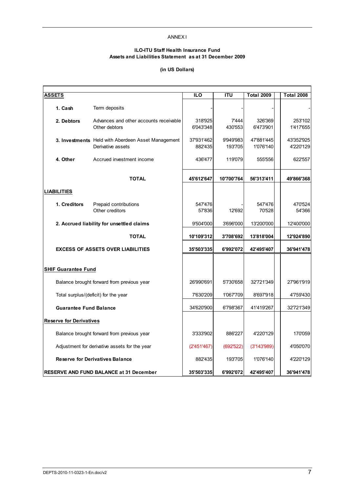#### ANNEX I

#### **ILO-ITU Staff Health Insurance Fund Assets and Liabilities Statement as at 31 December 2009**

#### **(in US Dollars)**

| <b>ASSETS</b>                  |                                                                         | <b>ILO</b>            | <b>ITU</b>           | <b>Total 2009</b>       | <b>Total 2008</b>       |
|--------------------------------|-------------------------------------------------------------------------|-----------------------|----------------------|-------------------------|-------------------------|
| 1. Cash                        | Term deposits                                                           |                       |                      |                         |                         |
| 2. Debtors                     | Advances and other accounts receivable<br>Other debtors                 | 318'925<br>6'043'348  | 7'444<br>430'553     | 326'369<br>6'473'901    | 253'102<br>1'417'655    |
|                                | 3. Investments Held with Aberdeen Asset Management<br>Derivative assets | 37'931'462<br>882'435 | 9'949'983<br>193'705 | 47'881'445<br>1'076'140 | 43'352'925<br>4'220'129 |
| 4. Other                       | Accrued investment income                                               | 436'477               | 119'079              | 555'556                 | 622'557                 |
|                                | <b>TOTAL</b>                                                            | 45'612'647            | 10'700'764           | 56'313'411              | 49'866'368              |
| <b>LIABILITIES</b>             |                                                                         |                       |                      |                         |                         |
| 1. Creditors                   | Prepaid contributions<br>Other creditors                                | 547'476<br>57'836     | 12'692               | 547'476<br>70'528       | 470'524<br>54'366       |
|                                | 2. Accrued liability for unsettled claims                               | 9'504'000             | 3'696'000            | 13'200'000              | 12'400'000              |
|                                | <b>TOTAL</b>                                                            | 10'109'312            | 3'708'692            | 13'818'004              | 12'924'890              |
|                                | <b>EXCESS OF ASSETS OVER LIABILITIES</b>                                | 35'503'335            | 6'992'072            | 42'495'407              | 36'941'478              |
| <b>SHIF Guarantee Fund</b>     |                                                                         |                       |                      |                         |                         |
|                                | Balance brought forward from previous year                              | 26'990'691            | 5'730'658            | 32'721'349              | 27'961'919              |
|                                | Total surplus/(deficit) for the year                                    | 7'630'209             | 1'067'709            | 8'697'918               | 4'759'430               |
| <b>Guarantee Fund Balance</b>  |                                                                         | 34'620'900            | 6'798'367            | 41'419'267              | 32'721'349              |
| <b>Reserve for Derivatives</b> |                                                                         |                       |                      |                         |                         |
|                                | Balance brought forward from previous year                              | 3'333'902             | 886'227              | 4'220'129               | 170'059                 |
|                                | Adjustment for derivative assets for the year                           | (2'451'467)           | (692'522)            | (3'143'989)             | 4'050'070               |
|                                | <b>Reserve for Derivatives Balance</b>                                  | 882'435               | 193'705              | 1'076'140               | 4'220'129               |
|                                | RESERVE AND FUND BALANCE at 31 December                                 | 35'503'335            | 6'992'072            | 42'495'407              | 36'941'478              |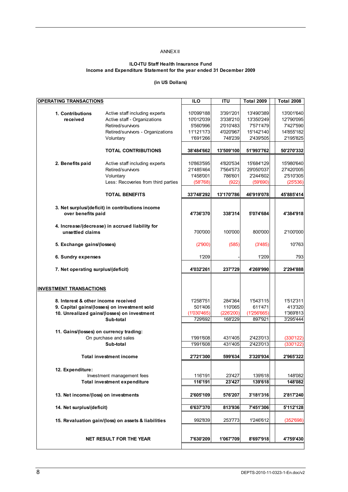#### ANNEX II

#### **ILO-ITU Staff Health Insurance Fund Income and Expenditure Statement for the year ended 31 December 2009**

#### **(in US Dollars)**

| <b>OPERATING TRANSACTIONS</b>  |                    |                                                     | <b>ILO</b>  | <b>ITU</b> | <b>Total 2009</b> | <b>Total 2008</b> |
|--------------------------------|--------------------|-----------------------------------------------------|-------------|------------|-------------------|-------------------|
|                                |                    |                                                     |             |            |                   |                   |
| 1. Contributions               |                    | Active staff including experts                      | 10'099'188  | 3'391'201  | 13'490'389        | 13'001'640        |
| received                       |                    | Active staff - Organizations                        | 10'012'039  | 3'338'210  | 13'350'249        | 12'790'095        |
|                                |                    | Retired/survivors                                   | 5'560'996   | 2'010'483  | 7'571'479         | 7'427'590         |
|                                |                    | Retired/survivors - Organizations                   | 11'121'173  | 4'020'967  | 15'142'140        | 14'855'182        |
|                                |                    | Voluntary                                           | 1'691'266   | 748'239    | 2'439'505         | 2'195'825         |
|                                |                    |                                                     |             |            |                   |                   |
|                                |                    | <b>TOTAL CONTRIBUTIONS</b>                          | 38'484'662  | 13'509'100 | 51'993'762        | 50'270'332        |
|                                |                    |                                                     |             |            |                   |                   |
|                                |                    | Active staff including experts                      | 10'863'595  | 4'820'534  | 15'684'129        | 15'980'640        |
| 2. Benefits paid               |                    |                                                     |             |            |                   |                   |
|                                |                    | Retired/survivors                                   | 21'485'464  | 7'564'573  | 29'050'037        | 27'420'005        |
|                                |                    | Voluntary                                           | 1'458'001   | 786'601    | 2'244'602         | 2'510'305         |
|                                |                    | Less: Recoveries from third parties                 | (58'768)    | (922)      | (59'690)          | (25'536)          |
|                                |                    |                                                     |             |            |                   |                   |
|                                |                    | <b>TOTAL BENEFITS</b>                               | 33'748'292  | 13'170'786 | 46'919'078        | 45'885'414        |
|                                |                    |                                                     |             |            |                   |                   |
|                                |                    | 3. Net surplus/(deficit) in contributions income    |             |            |                   |                   |
|                                | over benefits paid |                                                     | 4'736'370   | 338'314    | 5'074'684         | 4'384'918         |
|                                |                    |                                                     |             |            |                   |                   |
|                                |                    | 4. Increase/(decrease) in accrued liability for     |             |            |                   |                   |
|                                | unsettled claims   |                                                     | 700'000     | 100'000    | 800'000           | 2'100'000         |
|                                |                    |                                                     |             |            |                   |                   |
| 5. Exchange gains/(losses)     |                    |                                                     | (2'900)     | (585)      | (3'485)           | 10'763            |
|                                |                    |                                                     |             |            |                   |                   |
| 6. Sundry expenses             |                    |                                                     | 1'209       |            | 1'209             | 793               |
|                                |                    |                                                     |             |            |                   |                   |
|                                |                    | 7. Net operating surplus/(deficit)                  | 4'032'261   | 237'729    | 4'269'990         | 2'294'888         |
|                                |                    |                                                     |             |            |                   |                   |
|                                |                    |                                                     |             |            |                   |                   |
|                                |                    |                                                     |             |            |                   |                   |
| <b>INVESTMENT TRANSACTIONS</b> |                    |                                                     |             |            |                   |                   |
|                                |                    |                                                     |             |            |                   |                   |
|                                |                    | 8. Interest & other income received                 | 1'258'751   | 284'364    | 1'543'115         | 1'512'311         |
|                                |                    | 9. Capital gains/(losses) on investment sold        | 501'406     | 110'065    | 611'471           | 413'320           |
|                                |                    | 10. Unrealized gains/(losses) on investment         | (1'030'465) | (226'200)  | (1'256'665)       | 1'369'813         |
|                                |                    | Sub-total                                           | 729'692     | 168'229    | 897'921           | 3'295'444         |
|                                |                    |                                                     |             |            |                   |                   |
|                                |                    | 11. Gains/(losses) on currency trading:             |             |            |                   |                   |
|                                |                    | On purchase and sales                               | 1'991'608   | 431'405    | 2'423'013         | (330'122)         |
|                                |                    | Sub-total                                           | 1'991'608   | 431'405    | 2'423'013         | (330'122)         |
|                                |                    |                                                     |             |            |                   |                   |
|                                |                    | <b>Total investment income</b>                      | 2'721'300   | 599'634    | 3'320'934         | 2'965'322         |
|                                |                    |                                                     |             |            |                   |                   |
| 12. Expenditure:               |                    |                                                     |             |            |                   |                   |
|                                |                    | Investment management fees                          | 116'191     | 23'427     | 139'618           | 148'082           |
|                                |                    | <b>Total investment expenditure</b>                 | 116'191     | 23'427     | 139'618           | 148'082           |
|                                |                    |                                                     |             |            |                   |                   |
|                                |                    | 13. Net income/(loss) on investments                | 2'605'109   | 576'207    | 3'181'316         | 2'817'240         |
|                                |                    |                                                     |             |            |                   |                   |
| 14. Net surplus/(deficit)      |                    |                                                     | 6'637'370   | 813'936    | 7'451'306         | 5'112'128         |
|                                |                    |                                                     |             |            |                   |                   |
|                                |                    |                                                     |             |            |                   |                   |
|                                |                    | 15. Revaluation gain/(loss) on assets & liabilities | 992'839     | 253'773    | 1'246'612         | (352'698)         |
|                                |                    |                                                     |             |            |                   |                   |
|                                |                    |                                                     |             |            |                   |                   |
|                                |                    | <b>NET RESULT FOR THE YEAR</b>                      | 7'630'209   | 1'067'709  | 8'697'918         | 4'759'430         |
|                                |                    |                                                     |             |            |                   |                   |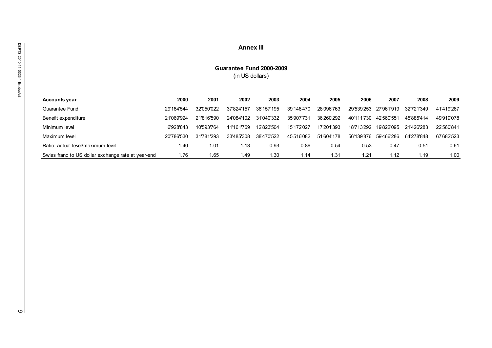#### **Annex III**

#### **Guarantee Fund 2000-2009** (in US dollars)

| <b>Accounts year</b>                               | 2000       | 2001       | 2002       | 2003       | 2004       | 2005             | 2006       | 2007       | 2008       | 2009       |
|----------------------------------------------------|------------|------------|------------|------------|------------|------------------|------------|------------|------------|------------|
| Guarantee Fund                                     | 29'184'544 | 32'050'022 | 37'824'157 | 36'157'195 | 39'148'470 | 28'096'763       | 29'539'253 | 27'961'919 | 32'721'349 | 41'419'267 |
| Benefit expenditure                                | 21'069'924 | 21'816'590 | 24'084'102 | 31'040'332 | 35'907'731 | 36'260'292       | 40'111'730 | 42'560'551 | 45'885'414 | 49'919'078 |
| Minimum level                                      | 6'928'843  | 10'593'764 | 11'161'769 | 12'823'504 | 15'172'027 | 17'201'393       | 18'713'292 | 19'822'095 | 21'426'283 | 22'560'841 |
| Maximum level                                      | 20'786'530 | 31'781'293 | 33'485'308 | 38'470'522 | 45'516'082 | 51'604'178       | 56'139'876 | 59'466'286 | 64'278'848 | 67'682'523 |
| Ratio: actual level/maximum level                  | 40.۱       | 1.01       | 1.13       | 0.93       | 0.86       | 0.54             | 0.53       | 0.47       | 0.51       | 0.61       |
| Swiss franc to US dollar exchange rate at year-end | .76 ،      | 1.65       | 49. ،      | l.30       | 1.14       | 1.3 <sup>4</sup> | l.21       | 1.12       | 1.19       | 1.00       |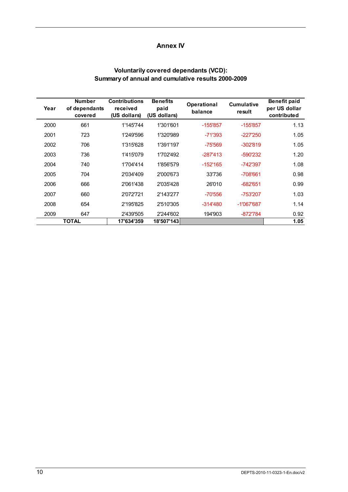# **Annex IV**

# **Voluntarily covered dependants (VCD): Summary of annual and cumulative results 2000-2009**

| Year | <b>Number</b><br>of dependants<br>covered | <b>Contributions</b><br>received<br>(US dollars) | <b>Benefits</b><br>paid<br>(US dollars) | Operational<br>balance | <b>Cumulative</b><br>result | <b>Benefit paid</b><br>per US dollar<br>contributed |
|------|-------------------------------------------|--------------------------------------------------|-----------------------------------------|------------------------|-----------------------------|-----------------------------------------------------|
| 2000 | 661                                       | 1'145'744                                        | 1'301'601                               | $-155'857$             | $-155'857$                  | 1.13                                                |
| 2001 | 723                                       | 1'249'596                                        | 1'320'989                               | $-71'393$              | $-227'250$                  | 1.05                                                |
| 2002 | 706                                       | 1'315'628                                        | 1'391'197                               | $-75'569$              | $-302'819$                  | 1.05                                                |
| 2003 | 736                                       | 1'415'079                                        | 1'702'492                               | $-287'413$             | -590'232                    | 1.20                                                |
| 2004 | 740                                       | 1'704'414                                        | 1'856'579                               | $-152'165$             | -742'397                    | 1.08                                                |
| 2005 | 704                                       | 2'034'409                                        | 2'000'673                               | 33'736                 | -708'661                    | 0.98                                                |
| 2006 | 666                                       | 2'061'438                                        | 2'035'428                               | 26'010                 | $-682'651$                  | 0.99                                                |
| 2007 | 660                                       | 2'072'721                                        | 2'143'277                               | -70'556                | -753'207                    | 1.03                                                |
| 2008 | 654                                       | 2'195'825                                        | 2'510'305                               | $-314'480$             | $-1'067'687$                | 1.14                                                |
| 2009 | 647                                       | 2'439'505                                        | 2'244'602                               | 194'903                | $-872784$                   | 0.92                                                |
|      | TOTAL                                     | 17'634'359                                       | 18'507'143                              |                        |                             | 1.05                                                |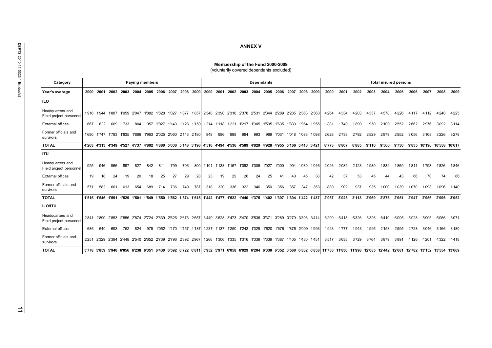| ï  |
|----|
|    |
|    |
| ć  |
|    |
|    |
|    |
|    |
|    |
|    |
|    |
|    |
| ř. |
| ļ  |
|    |
|    |
|    |
|    |
|    |
|    |
| ī  |
|    |
|    |
|    |
|    |
|    |
|    |
|    |

| Category                                    |     |     |     |     |     | <b>Paying members</b> |     |         |                                                                                                                                                                                                 |     |     |     |                                           |     |     | Dependants |     |     |                             |     |       |             |       |       |                               |       | <b>Total insured persons</b> |                            |       |  |  |  |
|---------------------------------------------|-----|-----|-----|-----|-----|-----------------------|-----|---------|-------------------------------------------------------------------------------------------------------------------------------------------------------------------------------------------------|-----|-----|-----|-------------------------------------------|-----|-----|------------|-----|-----|-----------------------------|-----|-------|-------------|-------|-------|-------------------------------|-------|------------------------------|----------------------------|-------|--|--|--|
| Year's average                              |     |     |     |     |     |                       |     |         | 2000 2001 2002 2003 2004 2005 2006 2007 2008 2009 2000 2001 2002 2003 2004 2005 2006 2007 2008 2009                                                                                             |     |     |     |                                           |     |     |            |     |     |                             |     | 2000  | 2001        | 2002  |       | 2003 2004                     |       |                              | 2005 2006 2007 2008        |       |  |  |  |
| <b>ILO</b>                                  |     |     |     |     |     |                       |     |         |                                                                                                                                                                                                 |     |     |     |                                           |     |     |            |     |     |                             |     |       |             |       |       |                               |       |                              |                            |       |  |  |  |
| Headquarters and<br>Field project personnel |     |     |     |     |     |                       |     |         | 1'916 1'944 1'887 1'959 2'047 1'882 1'828 1'827 1'877 1'857 2'348 2'390 2'316 2'378 2'531 2'344 2'289 2'285 2'363 2'368                                                                         |     |     |     |                                           |     |     |            |     |     |                             |     | 4'264 | 4'334       | 4'203 | 4'337 | 4'578                         | 4'226 |                              | 4'117 4'112 4'240          |       |  |  |  |
| <b>External offices</b>                     | 667 | 622 | 669 | 733 | 804 |                       |     |         | 957 1'027 1'143 1'128 1'159 1'214 1'118 1'221 1'217 1'305 1'595 1'635 1'833 1'964 1'955                                                                                                         |     |     |     |                                           |     |     |            |     |     |                             |     | 1'881 | 1'740       | 1'890 | 1'950 | 2'109                         | 2'552 | 2'662                        | 2'976                      | 3'092 |  |  |  |
| Former officials and<br>survivors           |     |     |     |     |     |                       |     |         | 1'680 1'747 1'793 1'835 1'886 1'963 2'025 2'060 2'143 2'180                                                                                                                                     |     | 948 | 986 | 999                                       | 994 | 993 |            |     |     | 989 1'031 1'048 1'083 1'098 |     | 2'628 | 2'733       | 2'792 | 2'829 | 2'879                         | 2'952 |                              | 3'056 3'108                | 3'226 |  |  |  |
| <b>TOTAL</b>                                |     |     |     |     |     |                       |     |         | 4'263 4'313 4'349 4'527 4'737 4'802 4'880 5'030 5'148 5'196 4'510 4'494 4'536 4'589 4'829 4'928 4'955 5'166 5'410 5'421                                                                         |     |     |     |                                           |     |     |            |     |     |                             |     | 8'773 | 8'807       |       |       | 8'885 9'116 9'566             | 9'730 |                              | 9'835 10'196 10'558 10'617 |       |  |  |  |
| <b>ITU</b>                                  |     |     |     |     |     |                       |     |         |                                                                                                                                                                                                 |     |     |     |                                           |     |     |            |     |     |                             |     |       |             |       |       |                               |       |                              |                            |       |  |  |  |
| Headquarters and<br>Field project personnel | 925 | 946 | 966 | 897 | 827 | 842                   | 811 | 799     | 796                                                                                                                                                                                             | 800 |     |     | 1'101 1'138 1'157 1'092 1'005 1'027 1'000 |     |     |            |     |     | 994 1'030 1'046             |     | 2'026 | 2'084       | 2'123 | 1'989 | 1'832                         | 1'869 | 1'811                        | 1'793                      | 1'826 |  |  |  |
| <b>External offices</b>                     | 19  | 18  | 24  | 19  | 20  | 18                    | 25  | 27      | 29                                                                                                                                                                                              | 28  | 23  | 19  | 29                                        | 26  | 24  | 25         | 41  | 43  | 45                          | 38  | 42    | 37          | 53    | 45    | 44                            | 43    | 66                           | 70                         | 74    |  |  |  |
| Former officials and<br>survivors           | 571 | 582 | 601 | 613 | 654 | 689                   |     | 714 736 | 749                                                                                                                                                                                             | 787 | 318 | 320 | 336                                       | 322 | 346 | 350        | 356 | 357 | 347                         | 353 | 889   | 902         | 937   | 935   | 1'000                         | 1'039 | 1'070                        | 1'093                      | 1'096 |  |  |  |
| <b>TOTAL</b>                                |     |     |     |     |     |                       |     |         | 1'515 1'546 1'591 1'529 1'501 1'549 1'550 1'562 1'574 1'615 1'442 1'477 1'522 1'440 1'375 1'402 1'397 1'394 1'422 1'437                                                                         |     |     |     |                                           |     |     |            |     |     |                             |     | 2'957 |             |       |       | 3'023 3'113 2'969 2'876 2'951 |       |                              | 2'947 2'956 2'996          |       |  |  |  |
| <b>ILO/ITU</b>                              |     |     |     |     |     |                       |     |         |                                                                                                                                                                                                 |     |     |     |                                           |     |     |            |     |     |                             |     |       |             |       |       |                               |       |                              |                            |       |  |  |  |
| Headquarters and<br>Field project personnel |     |     |     |     |     |                       |     |         | 2'841 2'890 2'853 2'856 2'874 2'724 2'639 2'626 2'673 2'657 3'449 3'528 3'473 3'470 3'536 3'371 3'289 3'279 3'393 3'414                                                                         |     |     |     |                                           |     |     |            |     |     |                             |     | 6'290 | 6'418       | 6'326 | 6'326 | 6'410                         | 6'095 | 5'928                        | 5'905                      | 6'066 |  |  |  |
| <b>External offices</b>                     | 686 | 640 | 693 |     |     |                       |     |         | 752 824 975 1'052 1'170 1'157 1'187  1'237 1'137 1'250 1'243 1'329 1'620 1'676 1'876 2'009 1'993                                                                                                |     |     |     |                                           |     |     |            |     |     |                             |     | 1'923 | 1777        | 1'943 | 1'995 | 2'153                         | 2'595 |                              | 2'728 3'046                | 3'166 |  |  |  |
| Former officials and<br>survivors           |     |     |     |     |     |                       |     |         | 2'251 2'329 2'394 2'448 2'540 2'652 2'739 2'796 2'892 2'967  1'266 1'306 1'335 1'316 1'339 1'339 1'387 1'405 1'430 1'451                                                                        |     |     |     |                                           |     |     |            |     |     |                             |     |       | 3'517 3'635 | 3'729 |       | 3'764 3'879                   | 3'991 |                              | 4'126 4'201                | 4'322 |  |  |  |
| <b>TOTAL</b>                                |     |     |     |     |     |                       |     |         | 5'778 5'859 5'940 6'056 6'238 6'351 6'430 6'592 6'722 6'811  5'952 5'971 6'058 6'029 6'204 6'330 6'352 6'560 6'832 6'858  11'730 11'830 11'998 12'085 12'442 12'681 12'782 13'152 13'554 13'669 |     |     |     |                                           |     |     |            |     |     |                             |     |       |             |       |       |                               |       |                              |                            |       |  |  |  |